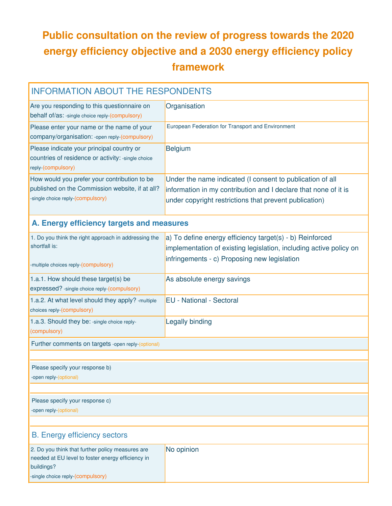## **Public consultation on the review of progress towards the 2020 energy efficiency objective and a 2030 energy efficiency policy framework**

| <b>INFORMATION ABOUT THE RESPONDENTS</b>                                                                                                                 |                                                                                                                                                                                        |
|----------------------------------------------------------------------------------------------------------------------------------------------------------|----------------------------------------------------------------------------------------------------------------------------------------------------------------------------------------|
| Are you responding to this questionnaire on<br>behalf of/as: -single choice reply-(compulsory)                                                           | Organisation                                                                                                                                                                           |
| Please enter your name or the name of your<br>company/organisation: - open reply-(compulsory)                                                            | European Federation for Transport and Environment                                                                                                                                      |
| Please indicate your principal country or<br>countries of residence or activity: -single choice<br>reply-(compulsory)                                    | <b>Belgium</b>                                                                                                                                                                         |
| How would you prefer your contribution to be<br>published on the Commission website, if at all?<br>-single choice reply-(compulsory)                     | Under the name indicated (I consent to publication of all<br>information in my contribution and I declare that none of it is<br>under copyright restrictions that prevent publication) |
| A. Energy efficiency targets and measures                                                                                                                |                                                                                                                                                                                        |
| 1. Do you think the right approach in addressing the<br>shortfall is:<br>-multiple choices reply-(compulsory)                                            | a) To define energy efficiency target(s) - b) Reinforced<br>implementation of existing legislation, including active policy on<br>infringements - c) Proposing new legislation         |
| 1.a.1. How should these target(s) be<br>expressed? - single choice reply-(compulsory)                                                                    | As absolute energy savings                                                                                                                                                             |
| 1.a.2. At what level should they apply? - multiple<br>choices reply-(compulsory)                                                                         | <b>EU</b> - National - Sectoral                                                                                                                                                        |
| 1.a.3. Should they be: -single choice reply-<br>(compulsory)                                                                                             | Legally binding                                                                                                                                                                        |
| Further comments on targets -open reply-(optional)                                                                                                       |                                                                                                                                                                                        |
| Please specify your response b)<br>-open reply-(optional)                                                                                                |                                                                                                                                                                                        |
| Please specify your response c)<br>-open reply-(optional)                                                                                                |                                                                                                                                                                                        |
| <b>B.</b> Energy efficiency sectors                                                                                                                      |                                                                                                                                                                                        |
| 2. Do you think that further policy measures are<br>needed at EU level to foster energy efficiency in<br>buildings?<br>-single choice reply-(compulsory) | No opinion                                                                                                                                                                             |